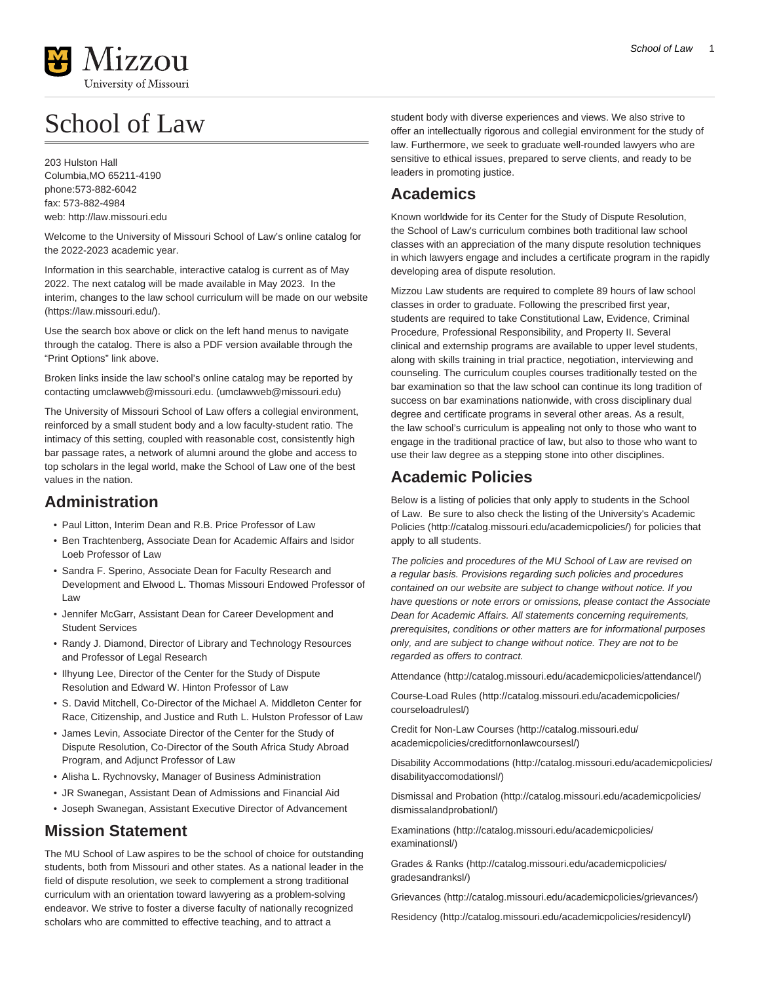

# School of Law

203 Hulston Hall Columbia,MO 65211-4190 phone:573-882-6042 fax: 573-882-4984 web:<http://law.missouri.edu>

Welcome to the University of Missouri School of Law's online catalog for the 2022-2023 academic year.

Information in this searchable, interactive catalog is current as of May 2022. The next catalog will be made available in May 2023. In the interim, changes to the law school curriculum will be made on our [website](https://law.missouri.edu/) (<https://law.missouri.edu/>).

Use the search box above or click on the left hand menus to navigate through the catalog. There is also a PDF version available through the "Print Options" link above.

Broken links inside the law school's online catalog may be reported by contacting [umclawweb@missouri.edu.](mailto:umclawweb@missouri.edu) [\(umclawweb@missouri.edu](umclawweb@missouri.edu))

The University of Missouri School of Law offers a collegial environment, reinforced by a small student body and a low faculty-student ratio. The intimacy of this setting, coupled with reasonable cost, consistently high bar passage rates, a network of alumni around the globe and access to top scholars in the legal world, make the School of Law one of the best values in the nation.

#### **Administration**

- Paul Litton, Interim Dean and R.B. Price Professor of Law
- Ben Trachtenberg, Associate Dean for Academic Affairs and Isidor Loeb Professor of Law
- Sandra F. Sperino, Associate Dean for Faculty Research and Development and Elwood L. Thomas Missouri Endowed Professor of Law
- Jennifer McGarr, Assistant Dean for Career Development and Student Services
- Randy J. Diamond, Director of Library and Technology Resources and Professor of Legal Research
- Ilhyung Lee, Director of the Center for the Study of Dispute Resolution and Edward W. Hinton Professor of Law
- S. David Mitchell, Co-Director of the Michael A. Middleton Center for Race, Citizenship, and Justice and Ruth L. Hulston Professor of Law
- James Levin, Associate Director of the Center for the Study of Dispute Resolution, Co-Director of the South Africa Study Abroad Program, and Adjunct Professor of Law
- Alisha L. Rychnovsky, Manager of Business Administration
- JR Swanegan, Assistant Dean of Admissions and Financial Aid
- Joseph Swanegan, Assistant Executive Director of Advancement

#### **Mission Statement**

The MU School of Law aspires to be the school of choice for outstanding students, both from Missouri and other states. As a national leader in the field of dispute resolution, we seek to complement a strong traditional curriculum with an orientation toward lawyering as a problem-solving endeavor. We strive to foster a diverse faculty of nationally recognized scholars who are committed to effective teaching, and to attract a

student body with diverse experiences and views. We also strive to offer an intellectually rigorous and collegial environment for the study of law. Furthermore, we seek to graduate well-rounded lawyers who are sensitive to ethical issues, prepared to serve clients, and ready to be leaders in promoting justice.

# **Academics**

Known worldwide for its Center for the Study of Dispute Resolution, the School of Law's curriculum combines both traditional law school classes with an appreciation of the many dispute resolution techniques in which lawyers engage and includes a certificate program in the rapidly developing area of dispute resolution.

Mizzou Law students are required to complete 89 hours of law school classes in order to graduate. Following the prescribed first year, students are required to take Constitutional Law, Evidence, Criminal Procedure, Professional Responsibility, and Property II. Several clinical and externship programs are available to upper level students, along with skills training in trial practice, negotiation, interviewing and counseling. The curriculum couples courses traditionally tested on the bar examination so that the law school can continue its long tradition of success on bar examinations nationwide, with cross disciplinary dual degree and certificate programs in several other areas. As a result, the law school's curriculum is appealing not only to those who want to engage in the traditional practice of law, but also to those who want to use their law degree as a stepping stone into other disciplines.

## **Academic Policies**

Below is a listing of policies that only apply to students in the School of Law. Be sure to also check the listing of the University's [Academic](http://catalog.missouri.edu/academicpolicies/) [Policies \(http://catalog.missouri.edu/academicpolicies/](http://catalog.missouri.edu/academicpolicies/)) for policies that apply to all students.

The policies and procedures of the MU School of Law are revised on a regular basis. Provisions regarding such policies and procedures contained on our website are subject to change without notice. If you have questions or note errors or omissions, please contact the Associate Dean for Academic Affairs. All statements concerning requirements, prerequisites, conditions or other matters are for informational purposes only, and are subject to change without notice. They are not to be regarded as offers to contract.

[Attendance](http://catalog.missouri.edu/academicpolicies/attendancel/) [\(http://catalog.missouri.edu/academicpolicies/attendancel/\)](http://catalog.missouri.edu/academicpolicies/attendancel/)

[Course-Load Rules](http://catalog.missouri.edu/academicpolicies/courseloadrulesl/) ([http://catalog.missouri.edu/academicpolicies/](http://catalog.missouri.edu/academicpolicies/courseloadrulesl/) [courseloadrulesl/](http://catalog.missouri.edu/academicpolicies/courseloadrulesl/))

[Credit for Non-Law Courses](http://catalog.missouri.edu/academicpolicies/creditfornonlawcoursesl/) [\(http://catalog.missouri.edu/](http://catalog.missouri.edu/academicpolicies/creditfornonlawcoursesl/) [academicpolicies/creditfornonlawcoursesl/](http://catalog.missouri.edu/academicpolicies/creditfornonlawcoursesl/))

[Disability Accommodations \(http://catalog.missouri.edu/academicpolicies/](http://catalog.missouri.edu/academicpolicies/disabilityaccomodationsl/) [disabilityaccomodationsl/](http://catalog.missouri.edu/academicpolicies/disabilityaccomodationsl/))

[Dismissal and Probation](http://catalog.missouri.edu/academicpolicies/dismissalandprobationl/) [\(http://catalog.missouri.edu/academicpolicies/](http://catalog.missouri.edu/academicpolicies/dismissalandprobationl/) [dismissalandprobationl/\)](http://catalog.missouri.edu/academicpolicies/dismissalandprobationl/)

[Examinations](http://catalog.missouri.edu/academicpolicies/examinationsl/) ([http://catalog.missouri.edu/academicpolicies/](http://catalog.missouri.edu/academicpolicies/examinationsl/) [examinationsl/](http://catalog.missouri.edu/academicpolicies/examinationsl/))

[Grades & Ranks](http://catalog.missouri.edu/academicpolicies/gradesandranksl/) ([http://catalog.missouri.edu/academicpolicies/](http://catalog.missouri.edu/academicpolicies/gradesandranksl/) [gradesandranksl/](http://catalog.missouri.edu/academicpolicies/gradesandranksl/))

[Grievances](http://catalog.missouri.edu/academicpolicies/grievances/) [\(http://catalog.missouri.edu/academicpolicies/grievances/\)](http://catalog.missouri.edu/academicpolicies/grievances/)

[Residency](http://catalog.missouri.edu/academicpolicies/residencyl/) [\(http://catalog.missouri.edu/academicpolicies/residencyl/](http://catalog.missouri.edu/academicpolicies/residencyl/))